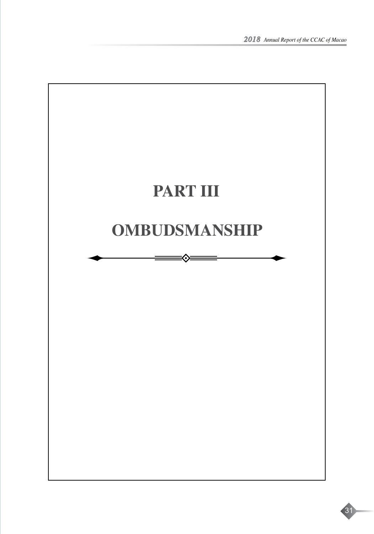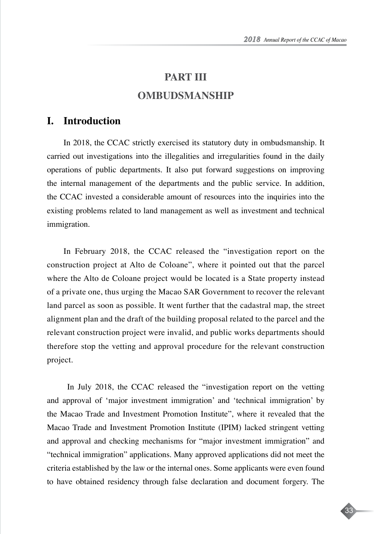# **PART III OMBUDSMANSHIP**

# **I. Introduction**

In 2018, the CCAC strictly exercised its statutory duty in ombudsmanship. It carried out investigations into the illegalities and irregularities found in the daily operations of public departments. It also put forward suggestions on improving the internal management of the departments and the public service. In addition, the CCAC invested a considerable amount of resources into the inquiries into the existing problems related to land management as well as investment and technical immigration.

In February 2018, the CCAC released the "investigation report on the construction project at Alto de Coloane", where it pointed out that the parcel where the Alto de Coloane project would be located is a State property instead of a private one, thus urging the Macao SAR Government to recover the relevant land parcel as soon as possible. It went further that the cadastral map, the street alignment plan and the draft of the building proposal related to the parcel and the relevant construction project were invalid, and public works departments should therefore stop the vetting and approval procedure for the relevant construction project.

 In July 2018, the CCAC released the "investigation report on the vetting and approval of 'major investment immigration' and 'technical immigration' by the Macao Trade and Investment Promotion Institute", where it revealed that the Macao Trade and Investment Promotion Institute (IPIM) lacked stringent vetting and approval and checking mechanisms for "major investment immigration" and "technical immigration" applications. Many approved applications did not meet the criteria established by the law or the internal ones. Some applicants were even found to have obtained residency through false declaration and document forgery. The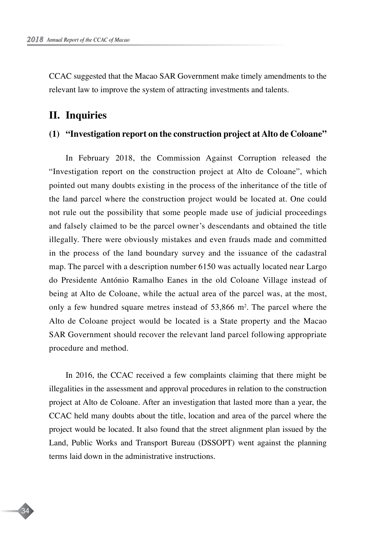CCAC suggested that the Macao SAR Government make timely amendments to the relevant law to improve the system of attracting investments and talents.

# **II. Inquiries**

34

#### **(1) "Investigation report on the construction project at Alto de Coloane"**

In February 2018, the Commission Against Corruption released the "Investigation report on the construction project at Alto de Coloane", which pointed out many doubts existing in the process of the inheritance of the title of the land parcel where the construction project would be located at. One could not rule out the possibility that some people made use of judicial proceedings and falsely claimed to be the parcel owner's descendants and obtained the title illegally. There were obviously mistakes and even frauds made and committed in the process of the land boundary survey and the issuance of the cadastral map. The parcel with a description number 6150 was actually located near Largo do Presidente António Ramalho Eanes in the old Coloane Village instead of being at Alto de Coloane, while the actual area of the parcel was, at the most, only a few hundred square metres instead of 53,866 m<sup>2</sup>. The parcel where the Alto de Coloane project would be located is a State property and the Macao SAR Government should recover the relevant land parcel following appropriate procedure and method.

In 2016, the CCAC received a few complaints claiming that there might be illegalities in the assessment and approval procedures in relation to the construction project at Alto de Coloane. After an investigation that lasted more than a year, the CCAC held many doubts about the title, location and area of the parcel where the project would be located. It also found that the street alignment plan issued by the Land, Public Works and Transport Bureau (DSSOPT) went against the planning terms laid down in the administrative instructions.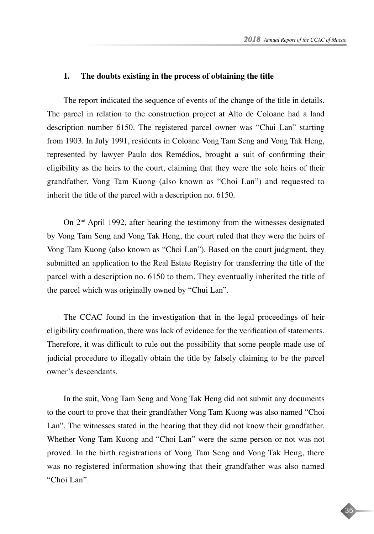### **1. The doubts existing in the process of obtaining the title**

The report indicated the sequence of events of the change of the title in details. The parcel in relation to the construction project at Alto de Coloane had a land description number 6150. The registered parcel owner was "Chui Lan" starting from 1903. In July 1991, residents in Coloane Vong Tam Seng and Vong Tak Heng, represented by lawyer Paulo dos Remédios, brought a suit of confirming their eligibility as the heirs to the court, claiming that they were the sole heirs of their grandfather, Vong Tam Kuong (also known as "Choi Lan") and requested to inherit the title of the parcel with a description no. 6150.

On 2nd April 1992, after hearing the testimony from the witnesses designated by Vong Tam Seng and Vong Tak Heng, the court ruled that they were the heirs of Vong Tam Kuong (also known as "Choi Lan"). Based on the court judgment, they submitted an application to the Real Estate Registry for transferring the title of the parcel with a description no. 6150 to them. They eventually inherited the title of the parcel which was originally owned by "Chui Lan".

The CCAC found in the investigation that in the legal proceedings of heir eligibility confirmation, there was lack of evidence for the verification of statements. Therefore, it was difficult to rule out the possibility that some people made use of judicial procedure to illegally obtain the title by falsely claiming to be the parcel owner's descendants.

In the suit, Vong Tam Seng and Vong Tak Heng did not submit any documents to the court to prove that their grandfather Vong Tam Kuong was also named "Choi Lan". The witnesses stated in the hearing that they did not know their grandfather. Whether Vong Tam Kuong and "Choi Lan" were the same person or not was not proved. In the birth registrations of Vong Tam Seng and Vong Tak Heng, there was no registered information showing that their grandfather was also named "Choi Lan".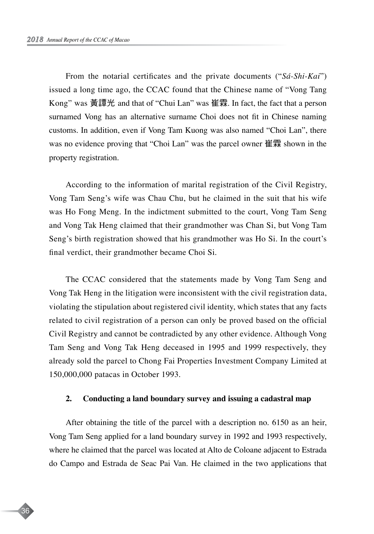From the notarial certificates and the private documents ("*Sá-Shi-Kai*") issued a long time ago, the CCAC found that the Chinese name of "Vong Tang Kong" was 黃譚光 and that of "Chui Lan" was 崔霖. In fact, the fact that a person surnamed Vong has an alternative surname Choi does not fit in Chinese naming customs. In addition, even if Vong Tam Kuong was also named "Choi Lan", there was no evidence proving that "Choi Lan" was the parcel owner 崔霖 shown in the property registration.

According to the information of marital registration of the Civil Registry, Vong Tam Seng's wife was Chau Chu, but he claimed in the suit that his wife was Ho Fong Meng. In the indictment submitted to the court, Vong Tam Seng and Vong Tak Heng claimed that their grandmother was Chan Si, but Vong Tam Seng's birth registration showed that his grandmother was Ho Si. In the court's final verdict, their grandmother became Choi Si.

The CCAC considered that the statements made by Vong Tam Seng and Vong Tak Heng in the litigation were inconsistent with the civil registration data, violating the stipulation about registered civil identity, which states that any facts related to civil registration of a person can only be proved based on the official Civil Registry and cannot be contradicted by any other evidence. Although Vong Tam Seng and Vong Tak Heng deceased in 1995 and 1999 respectively, they already sold the parcel to Chong Fai Properties Investment Company Limited at 150,000,000 patacas in October 1993.

#### **2. Conducting a land boundary survey and issuing a cadastral map**

After obtaining the title of the parcel with a description no. 6150 as an heir, Vong Tam Seng applied for a land boundary survey in 1992 and 1993 respectively, where he claimed that the parcel was located at Alto de Coloane adjacent to Estrada do Campo and Estrada de Seac Pai Van. He claimed in the two applications that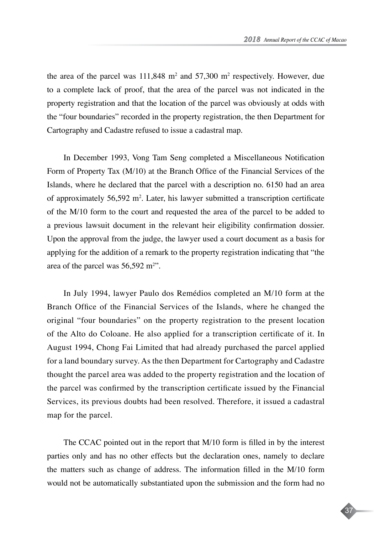the area of the parcel was  $111,848$  m<sup>2</sup> and  $57,300$  m<sup>2</sup> respectively. However, due to a complete lack of proof, that the area of the parcel was not indicated in the property registration and that the location of the parcel was obviously at odds with the "four boundaries" recorded in the property registration, the then Department for Cartography and Cadastre refused to issue a cadastral map.

In December 1993, Vong Tam Seng completed a Miscellaneous Notification Form of Property Tax (M/10) at the Branch Office of the Financial Services of the Islands, where he declared that the parcel with a description no. 6150 had an area of approximately 56,592 m<sup>2</sup>. Later, his lawyer submitted a transcription certificate of the M/10 form to the court and requested the area of the parcel to be added to a previous lawsuit document in the relevant heir eligibility confirmation dossier. Upon the approval from the judge, the lawyer used a court document as a basis for applying for the addition of a remark to the property registration indicating that "the area of the parcel was  $56,592 \text{ m}^{2}$ ".

In July 1994, lawyer Paulo dos Remédios completed an M/10 form at the Branch Office of the Financial Services of the Islands, where he changed the original "four boundaries" on the property registration to the present location of the Alto do Coloane. He also applied for a transcription certificate of it. In August 1994, Chong Fai Limited that had already purchased the parcel applied for a land boundary survey. As the then Department for Cartography and Cadastre thought the parcel area was added to the property registration and the location of the parcel was confirmed by the transcription certificate issued by the Financial Services, its previous doubts had been resolved. Therefore, it issued a cadastral map for the parcel.

The CCAC pointed out in the report that M/10 form is filled in by the interest parties only and has no other effects but the declaration ones, namely to declare the matters such as change of address. The information filled in the M/10 form would not be automatically substantiated upon the submission and the form had no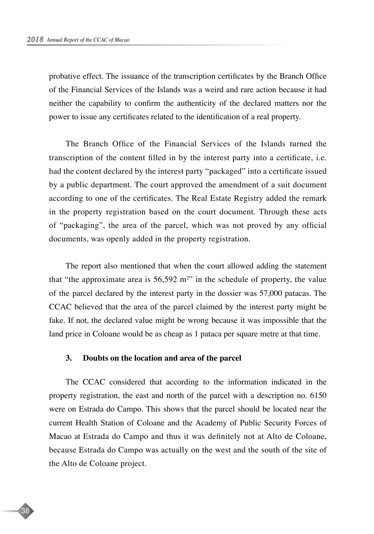probative effect. The issuance of the transcription certificates by the Branch Office of the Financial Services of the Islands was a weird and rare action because it had neither the capability to confirm the authenticity of the declared matters nor the power to issue any certificates related to the identification of a real property.

The Branch Office of the Financial Services of the Islands turned the transcription of the content filled in by the interest party into a certificate, i.e. had the content declared by the interest party "packaged" into a certificate issued by a public department. The court approved the amendment of a suit document according to one of the certificates. The Real Estate Registry added the remark in the property registration based on the court document. Through these acts of "packaging", the area of the parcel, which was not proved by any official documents, was openly added in the property registration.

The report also mentioned that when the court allowed adding the statement that "the approximate area is  $56,592$  m<sup>2</sup>" in the schedule of property, the value of the parcel declared by the interest party in the dossier was 57,000 patacas. The CCAC believed that the area of the parcel claimed by the interest party might be fake. If not, the declared value might be wrong because it was impossible that the land price in Coloane would be as cheap as 1 pataca per square metre at that time.

#### **3. Doubts on the location and area of the parcel**

The CCAC considered that according to the information indicated in the property registration, the east and north of the parcel with a description no. 6150 were on Estrada do Campo. This shows that the parcel should be located near the current Health Station of Coloane and the Academy of Public Security Forces of Macao at Estrada do Campo and thus it was definitely not at Alto de Coloane, because Estrada do Campo was actually on the west and the south of the site of the Alto de Coloane project.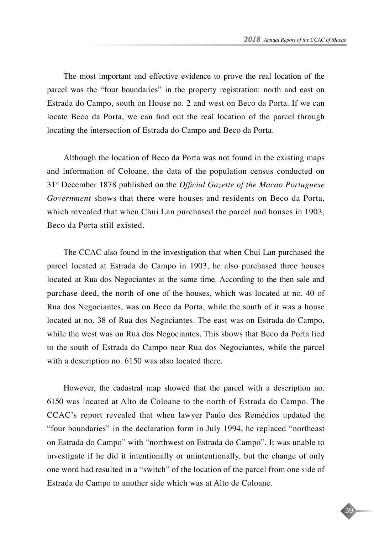The most important and effective evidence to prove the real location of the parcel was the "four boundaries" in the property registration: north and east on Estrada do Campo, south on House no. 2 and west on Beco da Porta. If we can locate Beco da Porta, we can find out the real location of the parcel through locating the intersection of Estrada do Campo and Beco da Porta.

Although the location of Beco da Porta was not found in the existing maps and information of Coloane, the data of the population census conducted on 31st December 1878 published on the *Official Gazette of the Macao Portuguese Government* shows that there were houses and residents on Beco da Porta, which revealed that when Chui Lan purchased the parcel and houses in 1903, Beco da Porta still existed.

The CCAC also found in the investigation that when Chui Lan purchased the parcel located at Estrada do Campo in 1903, he also purchased three houses located at Rua dos Negociantes at the same time. According to the then sale and purchase deed, the north of one of the houses, which was located at no. 40 of Rua dos Negociantes, was on Beco da Porta, while the south of it was a house located at no. 38 of Rua dos Negociantes. The east was on Estrada do Campo, while the west was on Rua dos Negociantes. This shows that Beco da Porta lied to the south of Estrada do Campo near Rua dos Negociantes, while the parcel with a description no. 6150 was also located there.

However, the cadastral map showed that the parcel with a description no. 6150 was located at Alto de Coloane to the north of Estrada do Campo. The CCAC's report revealed that when lawyer Paulo dos Remédios updated the "four boundaries" in the declaration form in July 1994, he replaced "northeast on Estrada do Campo" with "northwest on Estrada do Campo". It was unable to investigate if he did it intentionally or unintentionally, but the change of only one word had resulted in a "switch" of the location of the parcel from one side of Estrada do Campo to another side which was at Alto de Coloane.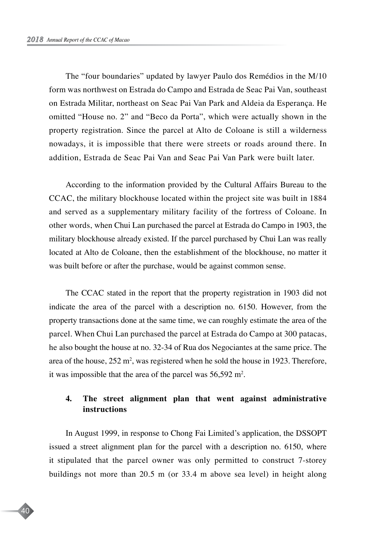The "four boundaries" updated by lawyer Paulo dos Remédios in the M/10 form was northwest on Estrada do Campo and Estrada de Seac Pai Van, southeast on Estrada Militar, northeast on Seac Pai Van Park and Aldeia da Esperança. He omitted "House no. 2" and "Beco da Porta", which were actually shown in the property registration. Since the parcel at Alto de Coloane is still a wilderness nowadays, it is impossible that there were streets or roads around there. In addition, Estrada de Seac Pai Van and Seac Pai Van Park were built later.

According to the information provided by the Cultural Affairs Bureau to the CCAC, the military blockhouse located within the project site was built in 1884 and served as a supplementary military facility of the fortress of Coloane. In other words, when Chui Lan purchased the parcel at Estrada do Campo in 1903, the military blockhouse already existed. If the parcel purchased by Chui Lan was really located at Alto de Coloane, then the establishment of the blockhouse, no matter it was built before or after the purchase, would be against common sense.

The CCAC stated in the report that the property registration in 1903 did not indicate the area of the parcel with a description no. 6150. However, from the property transactions done at the same time, we can roughly estimate the area of the parcel. When Chui Lan purchased the parcel at Estrada do Campo at 300 patacas, he also bought the house at no. 32-34 of Rua dos Negociantes at the same price. The area of the house,  $252 \text{ m}^2$ , was registered when he sold the house in 1923. Therefore, it was impossible that the area of the parcel was  $56,592 \text{ m}^2$ .

### **4. The street alignment plan that went against administrative instructions**

In August 1999, in response to Chong Fai Limited's application, the DSSOPT issued a street alignment plan for the parcel with a description no. 6150, where it stipulated that the parcel owner was only permitted to construct 7-storey buildings not more than 20.5 m (or 33.4 m above sea level) in height along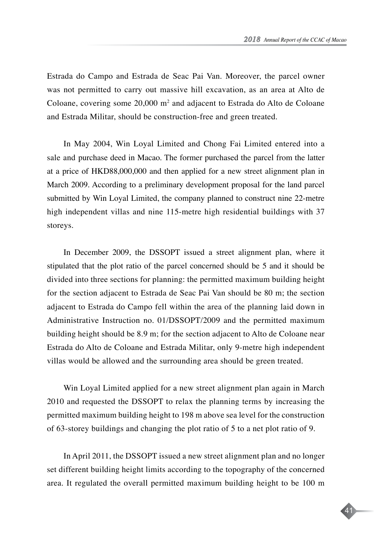Estrada do Campo and Estrada de Seac Pai Van. Moreover, the parcel owner was not permitted to carry out massive hill excavation, as an area at Alto de Coloane, covering some  $20,000 \text{ m}^2$  and adjacent to Estrada do Alto de Coloane and Estrada Militar, should be construction-free and green treated.

In May 2004, Win Loyal Limited and Chong Fai Limited entered into a sale and purchase deed in Macao. The former purchased the parcel from the latter at a price of HKD88,000,000 and then applied for a new street alignment plan in March 2009. According to a preliminary development proposal for the land parcel submitted by Win Loyal Limited, the company planned to construct nine 22-metre high independent villas and nine 115-metre high residential buildings with 37 storeys.

In December 2009, the DSSOPT issued a street alignment plan, where it stipulated that the plot ratio of the parcel concerned should be 5 and it should be divided into three sections for planning: the permitted maximum building height for the section adjacent to Estrada de Seac Pai Van should be 80 m; the section adjacent to Estrada do Campo fell within the area of the planning laid down in Administrative Instruction no. 01/DSSOPT/2009 and the permitted maximum building height should be 8.9 m; for the section adjacent to Alto de Coloane near Estrada do Alto de Coloane and Estrada Militar, only 9-metre high independent villas would be allowed and the surrounding area should be green treated.

Win Loyal Limited applied for a new street alignment plan again in March 2010 and requested the DSSOPT to relax the planning terms by increasing the permitted maximum building height to 198 m above sea level for the construction of 63-storey buildings and changing the plot ratio of 5 to a net plot ratio of 9.

In April 2011, the DSSOPT issued a new street alignment plan and no longer set different building height limits according to the topography of the concerned area. It regulated the overall permitted maximum building height to be 100 m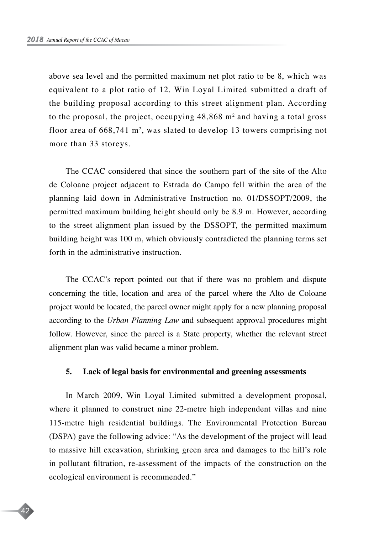above sea level and the permitted maximum net plot ratio to be 8, which was equivalent to a plot ratio of 12. Win Loyal Limited submitted a draft of the building proposal according to this street alignment plan. According to the proposal, the project, occupying  $48,868$  m<sup>2</sup> and having a total gross floor area of 668,741  $m^2$ , was slated to develop 13 towers comprising not more than 33 storeys.

The CCAC considered that since the southern part of the site of the Alto de Coloane project adjacent to Estrada do Campo fell within the area of the planning laid down in Administrative Instruction no. 01/DSSOPT/2009, the permitted maximum building height should only be 8.9 m. However, according to the street alignment plan issued by the DSSOPT, the permitted maximum building height was 100 m, which obviously contradicted the planning terms set forth in the administrative instruction.

The CCAC's report pointed out that if there was no problem and dispute concerning the title, location and area of the parcel where the Alto de Coloane project would be located, the parcel owner might apply for a new planning proposal according to the *Urban Planning Law* and subsequent approval procedures might follow. However, since the parcel is a State property, whether the relevant street alignment plan was valid became a minor problem.

#### **5. Lack of legal basis for environmental and greening assessments**

In March 2009, Win Loyal Limited submitted a development proposal, where it planned to construct nine 22-metre high independent villas and nine 115-metre high residential buildings. The Environmental Protection Bureau (DSPA) gave the following advice: "As the development of the project will lead to massive hill excavation, shrinking green area and damages to the hill's role in pollutant filtration, re-assessment of the impacts of the construction on the ecological environment is recommended."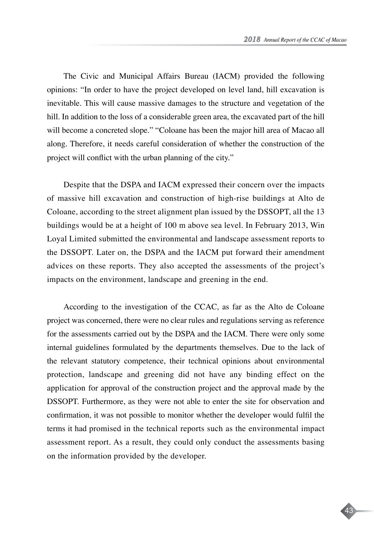The Civic and Municipal Affairs Bureau (IACM) provided the following opinions: "In order to have the project developed on level land, hill excavation is inevitable. This will cause massive damages to the structure and vegetation of the hill. In addition to the loss of a considerable green area, the excavated part of the hill will become a concreted slope." "Coloane has been the major hill area of Macao all along. Therefore, it needs careful consideration of whether the construction of the project will conflict with the urban planning of the city."

Despite that the DSPA and IACM expressed their concern over the impacts of massive hill excavation and construction of high-rise buildings at Alto de Coloane, according to the street alignment plan issued by the DSSOPT, all the 13 buildings would be at a height of 100 m above sea level. In February 2013, Win Loyal Limited submitted the environmental and landscape assessment reports to the DSSOPT. Later on, the DSPA and the IACM put forward their amendment advices on these reports. They also accepted the assessments of the project's impacts on the environment, landscape and greening in the end.

According to the investigation of the CCAC, as far as the Alto de Coloane project was concerned, there were no clear rules and regulations serving as reference for the assessments carried out by the DSPA and the IACM. There were only some internal guidelines formulated by the departments themselves. Due to the lack of the relevant statutory competence, their technical opinions about environmental protection, landscape and greening did not have any binding effect on the application for approval of the construction project and the approval made by the DSSOPT. Furthermore, as they were not able to enter the site for observation and confirmation, it was not possible to monitor whether the developer would fulfil the terms it had promised in the technical reports such as the environmental impact assessment report. As a result, they could only conduct the assessments basing on the information provided by the developer.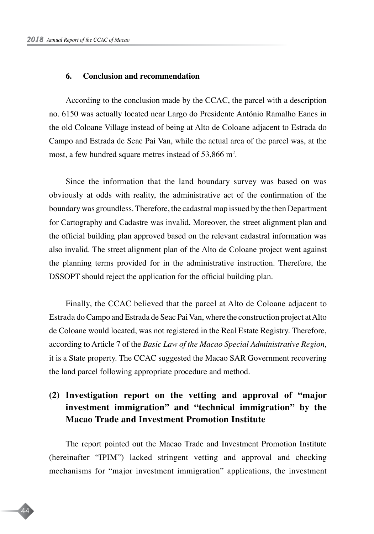### **6. Conclusion and recommendation**

According to the conclusion made by the CCAC, the parcel with a description no. 6150 was actually located near Largo do Presidente António Ramalho Eanes in the old Coloane Village instead of being at Alto de Coloane adjacent to Estrada do Campo and Estrada de Seac Pai Van, while the actual area of the parcel was, at the most, a few hundred square metres instead of 53,866 m<sup>2</sup>.

Since the information that the land boundary survey was based on was obviously at odds with reality, the administrative act of the confirmation of the boundary was groundless. Therefore, the cadastral map issued by the then Department for Cartography and Cadastre was invalid. Moreover, the street alignment plan and the official building plan approved based on the relevant cadastral information was also invalid. The street alignment plan of the Alto de Coloane project went against the planning terms provided for in the administrative instruction. Therefore, the DSSOPT should reject the application for the official building plan.

Finally, the CCAC believed that the parcel at Alto de Coloane adjacent to Estrada do Campo and Estrada de Seac Pai Van, where the construction project at Alto de Coloane would located, was not registered in the Real Estate Registry. Therefore, according to Article 7 of the *Basic Law of the Macao Special Administrative Region*, it is a State property. The CCAC suggested the Macao SAR Government recovering the land parcel following appropriate procedure and method.

# **(2) Investigation report on the vetting and approval of "major investment immigration" and "technical immigration" by the Macao Trade and Investment Promotion Institute**

The report pointed out the Macao Trade and Investment Promotion Institute (hereinafter "IPIM") lacked stringent vetting and approval and checking mechanisms for "major investment immigration" applications, the investment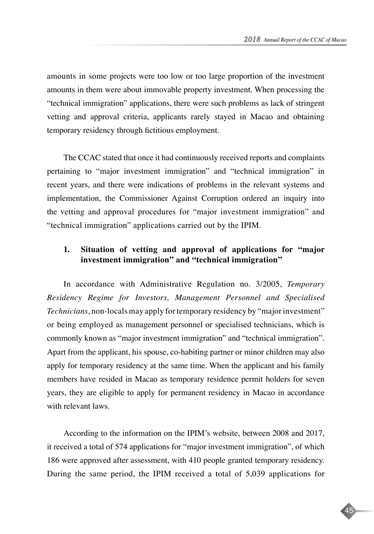amounts in some projects were too low or too large proportion of the investment amounts in them were about immovable property investment. When processing the "technical immigration" applications, there were such problems as lack of stringent vetting and approval criteria, applicants rarely stayed in Macao and obtaining temporary residency through fictitious employment.

The CCAC stated that once it had continuously received reports and complaints pertaining to "major investment immigration" and "technical immigration" in recent years, and there were indications of problems in the relevant systems and implementation, the Commissioner Against Corruption ordered an inquiry into the vetting and approval procedures for "major investment immigration" and "technical immigration" applications carried out by the IPIM.

# **1. Situation of vetting and approval of applications for "major investment immigration" and "technical immigration"**

In accordance with Administrative Regulation no. 3/2005, *Temporary Residency Regime for Investors, Management Personnel and Specialised Technicians*, non-locals may apply for temporary residency by "major investment" or being employed as management personnel or specialised technicians, which is commonly known as "major investment immigration" and "technical immigration". Apart from the applicant, his spouse, co-habiting partner or minor children may also apply for temporary residency at the same time. When the applicant and his family members have resided in Macao as temporary residence permit holders for seven years, they are eligible to apply for permanent residency in Macao in accordance with relevant laws.

According to the information on the IPIM's website, between 2008 and 2017, it received a total of 574 applications for "major investment immigration", of which 186 were approved after assessment, with 410 people granted temporary residency. During the same period, the IPIM received a total of 5,039 applications for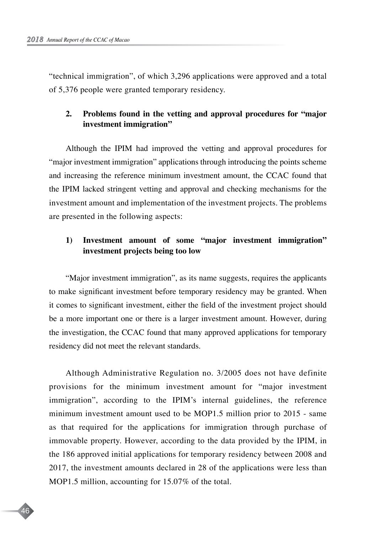"technical immigration", of which 3,296 applications were approved and a total of 5,376 people were granted temporary residency.

### **2. Problems found in the vetting and approval procedures for "major investment immigration"**

Although the IPIM had improved the vetting and approval procedures for "major investment immigration" applications through introducing the points scheme and increasing the reference minimum investment amount, the CCAC found that the IPIM lacked stringent vetting and approval and checking mechanisms for the investment amount and implementation of the investment projects. The problems are presented in the following aspects:

### **1) Investment amount of some "major investment immigration" investment projects being too low**

"Major investment immigration", as its name suggests, requires the applicants to make significant investment before temporary residency may be granted. When it comes to significant investment, either the field of the investment project should be a more important one or there is a larger investment amount. However, during the investigation, the CCAC found that many approved applications for temporary residency did not meet the relevant standards.

Although Administrative Regulation no. 3/2005 does not have definite provisions for the minimum investment amount for "major investment immigration", according to the IPIM's internal guidelines, the reference minimum investment amount used to be MOP1.5 million prior to 2015 - same as that required for the applications for immigration through purchase of immovable property. However, according to the data provided by the IPIM, in the 186 approved initial applications for temporary residency between 2008 and 2017, the investment amounts declared in 28 of the applications were less than MOP1.5 million, accounting for 15.07% of the total.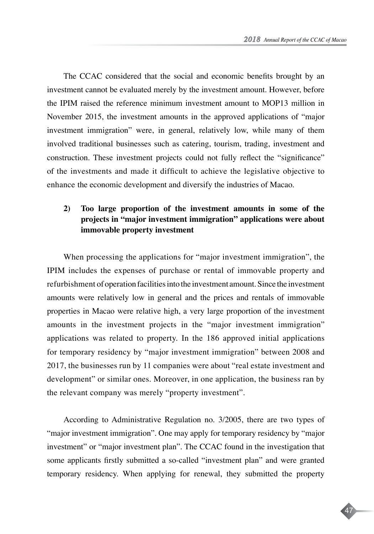The CCAC considered that the social and economic benefits brought by an investment cannot be evaluated merely by the investment amount. However, before the IPIM raised the reference minimum investment amount to MOP13 million in November 2015, the investment amounts in the approved applications of "major investment immigration" were, in general, relatively low, while many of them involved traditional businesses such as catering, tourism, trading, investment and construction. These investment projects could not fully reflect the "significance" of the investments and made it difficult to achieve the legislative objective to enhance the economic development and diversify the industries of Macao.

# **2) Too large proportion of the investment amounts in some of the projects in "major investment immigration" applications were about immovable property investment**

When processing the applications for "major investment immigration", the IPIM includes the expenses of purchase or rental of immovable property and refurbishment of operation facilities into the investment amount. Since the investment amounts were relatively low in general and the prices and rentals of immovable properties in Macao were relative high, a very large proportion of the investment amounts in the investment projects in the "major investment immigration" applications was related to property. In the 186 approved initial applications for temporary residency by "major investment immigration" between 2008 and 2017, the businesses run by 11 companies were about "real estate investment and development" or similar ones. Moreover, in one application, the business ran by the relevant company was merely "property investment".

According to Administrative Regulation no. 3/2005, there are two types of "major investment immigration". One may apply for temporary residency by "major investment" or "major investment plan". The CCAC found in the investigation that some applicants firstly submitted a so-called "investment plan" and were granted temporary residency. When applying for renewal, they submitted the property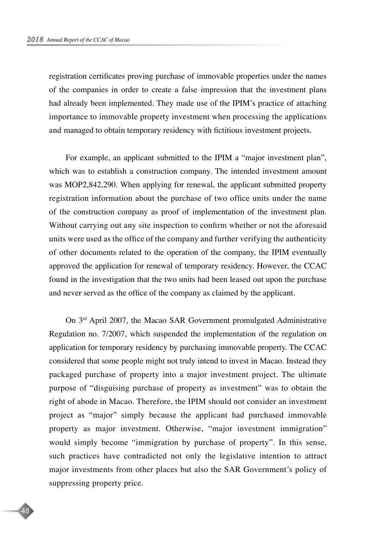registration certificates proving purchase of immovable properties under the names of the companies in order to create a false impression that the investment plans had already been implemented. They made use of the IPIM's practice of attaching importance to immovable property investment when processing the applications and managed to obtain temporary residency with fictitious investment projects.

For example, an applicant submitted to the IPIM a "major investment plan", which was to establish a construction company. The intended investment amount was MOP2,842,290. When applying for renewal, the applicant submitted property registration information about the purchase of two office units under the name of the construction company as proof of implementation of the investment plan. Without carrying out any site inspection to confirm whether or not the aforesaid units were used as the office of the company and further verifying the authenticity of other documents related to the operation of the company, the IPIM eventually approved the application for renewal of temporary residency. However, the CCAC found in the investigation that the two units had been leased out upon the purchase and never served as the office of the company as claimed by the applicant.

On 3rd April 2007, the Macao SAR Government promulgated Administrative Regulation no. 7/2007, which suspended the implementation of the regulation on application for temporary residency by purchasing immovable property. The CCAC considered that some people might not truly intend to invest in Macao. Instead they packaged purchase of property into a major investment project. The ultimate purpose of "disguising purchase of property as investment" was to obtain the right of abode in Macao. Therefore, the IPIM should not consider an investment project as "major" simply because the applicant had purchased immovable property as major investment. Otherwise, "major investment immigration" would simply become "immigration by purchase of property". In this sense, such practices have contradicted not only the legislative intention to attract major investments from other places but also the SAR Government's policy of suppressing property price.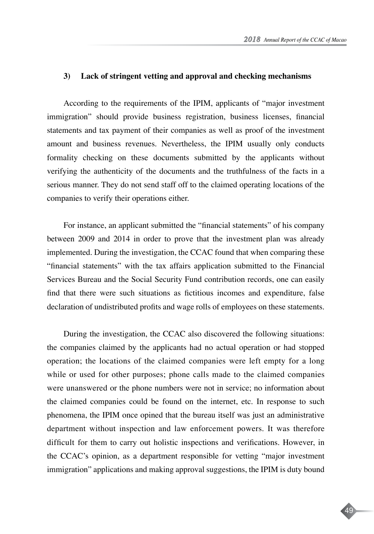### **3) Lack of stringent vetting and approval and checking mechanisms**

According to the requirements of the IPIM, applicants of "major investment immigration" should provide business registration, business licenses, financial statements and tax payment of their companies as well as proof of the investment amount and business revenues. Nevertheless, the IPIM usually only conducts formality checking on these documents submitted by the applicants without verifying the authenticity of the documents and the truthfulness of the facts in a serious manner. They do not send staff off to the claimed operating locations of the companies to verify their operations either.

For instance, an applicant submitted the "financial statements" of his company between 2009 and 2014 in order to prove that the investment plan was already implemented. During the investigation, the CCAC found that when comparing these "financial statements" with the tax affairs application submitted to the Financial Services Bureau and the Social Security Fund contribution records, one can easily find that there were such situations as fictitious incomes and expenditure, false declaration of undistributed profits and wage rolls of employees on these statements.

During the investigation, the CCAC also discovered the following situations: the companies claimed by the applicants had no actual operation or had stopped operation; the locations of the claimed companies were left empty for a long while or used for other purposes; phone calls made to the claimed companies were unanswered or the phone numbers were not in service; no information about the claimed companies could be found on the internet, etc. In response to such phenomena, the IPIM once opined that the bureau itself was just an administrative department without inspection and law enforcement powers. It was therefore difficult for them to carry out holistic inspections and verifications. However, in the CCAC's opinion, as a department responsible for vetting "major investment immigration" applications and making approval suggestions, the IPIM is duty bound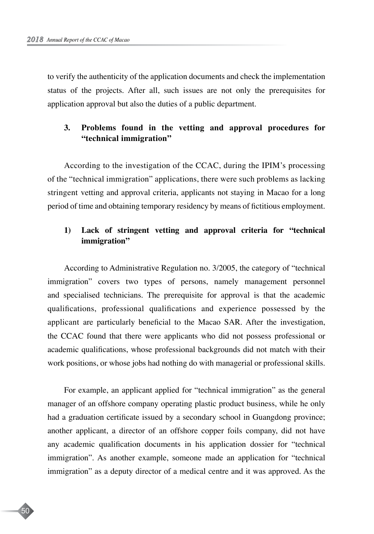to verify the authenticity of the application documents and check the implementation status of the projects. After all, such issues are not only the prerequisites for application approval but also the duties of a public department.

## **3. Problems found in the vetting and approval procedures for "technical immigration"**

According to the investigation of the CCAC, during the IPIM's processing of the "technical immigration" applications, there were such problems as lacking stringent vetting and approval criteria, applicants not staying in Macao for a long period of time and obtaining temporary residency by means of fictitious employment.

# **1) Lack of stringent vetting and approval criteria for "technical immigration"**

According to Administrative Regulation no. 3/2005, the category of "technical immigration" covers two types of persons, namely management personnel and specialised technicians. The prerequisite for approval is that the academic qualifications, professional qualifications and experience possessed by the applicant are particularly beneficial to the Macao SAR. After the investigation, the CCAC found that there were applicants who did not possess professional or academic qualifications, whose professional backgrounds did not match with their work positions, or whose jobs had nothing do with managerial or professional skills.

For example, an applicant applied for "technical immigration" as the general manager of an offshore company operating plastic product business, while he only had a graduation certificate issued by a secondary school in Guangdong province; another applicant, a director of an offshore copper foils company, did not have any academic qualification documents in his application dossier for "technical immigration". As another example, someone made an application for "technical immigration" as a deputy director of a medical centre and it was approved. As the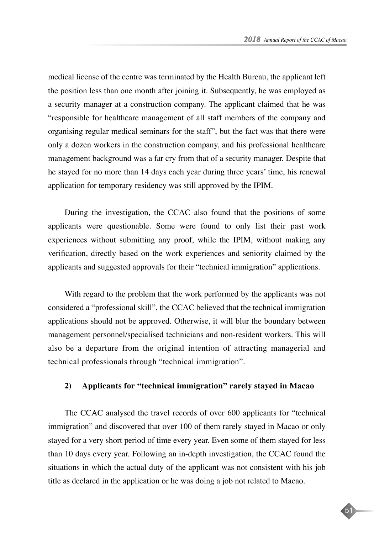medical license of the centre was terminated by the Health Bureau, the applicant left the position less than one month after joining it. Subsequently, he was employed as a security manager at a construction company. The applicant claimed that he was "responsible for healthcare management of all staff members of the company and organising regular medical seminars for the staff", but the fact was that there were only a dozen workers in the construction company, and his professional healthcare management background was a far cry from that of a security manager. Despite that he stayed for no more than 14 days each year during three years' time, his renewal application for temporary residency was still approved by the IPIM.

During the investigation, the CCAC also found that the positions of some applicants were questionable. Some were found to only list their past work experiences without submitting any proof, while the IPIM, without making any verification, directly based on the work experiences and seniority claimed by the applicants and suggested approvals for their "technical immigration" applications.

With regard to the problem that the work performed by the applicants was not considered a "professional skill", the CCAC believed that the technical immigration applications should not be approved. Otherwise, it will blur the boundary between management personnel/specialised technicians and non-resident workers. This will also be a departure from the original intention of attracting managerial and technical professionals through "technical immigration".

#### **2) Applicants for "technical immigration" rarely stayed in Macao**

The CCAC analysed the travel records of over 600 applicants for "technical immigration" and discovered that over 100 of them rarely stayed in Macao or only stayed for a very short period of time every year. Even some of them stayed for less than 10 days every year. Following an in-depth investigation, the CCAC found the situations in which the actual duty of the applicant was not consistent with his job title as declared in the application or he was doing a job not related to Macao.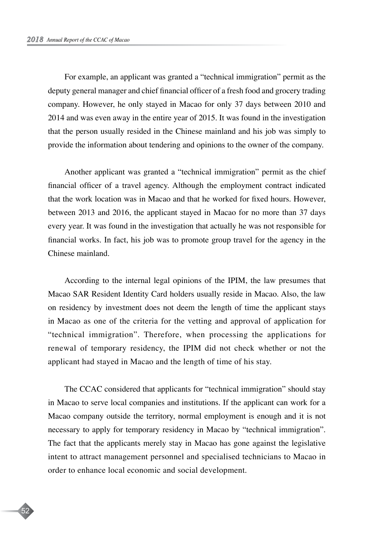For example, an applicant was granted a "technical immigration" permit as the deputy general manager and chief financial officer of a fresh food and grocery trading company. However, he only stayed in Macao for only 37 days between 2010 and 2014 and was even away in the entire year of 2015. It was found in the investigation that the person usually resided in the Chinese mainland and his job was simply to provide the information about tendering and opinions to the owner of the company.

Another applicant was granted a "technical immigration" permit as the chief financial officer of a travel agency. Although the employment contract indicated that the work location was in Macao and that he worked for fixed hours. However, between 2013 and 2016, the applicant stayed in Macao for no more than 37 days every year. It was found in the investigation that actually he was not responsible for financial works. In fact, his job was to promote group travel for the agency in the Chinese mainland.

According to the internal legal opinions of the IPIM, the law presumes that Macao SAR Resident Identity Card holders usually reside in Macao. Also, the law on residency by investment does not deem the length of time the applicant stays in Macao as one of the criteria for the vetting and approval of application for "technical immigration". Therefore, when processing the applications for renewal of temporary residency, the IPIM did not check whether or not the applicant had stayed in Macao and the length of time of his stay.

The CCAC considered that applicants for "technical immigration" should stay in Macao to serve local companies and institutions. If the applicant can work for a Macao company outside the territory, normal employment is enough and it is not necessary to apply for temporary residency in Macao by "technical immigration". The fact that the applicants merely stay in Macao has gone against the legislative intent to attract management personnel and specialised technicians to Macao in order to enhance local economic and social development.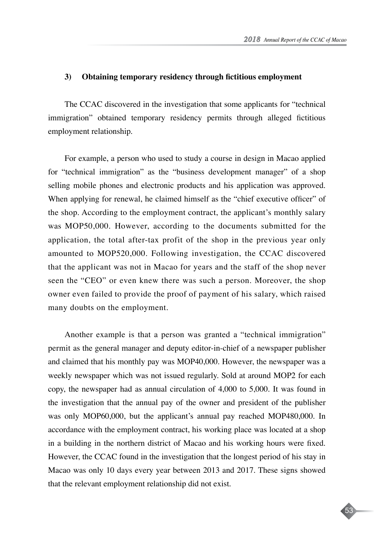### **3) Obtaining temporary residency through fictitious employment**

The CCAC discovered in the investigation that some applicants for "technical immigration" obtained temporary residency permits through alleged fictitious employment relationship.

For example, a person who used to study a course in design in Macao applied for "technical immigration" as the "business development manager" of a shop selling mobile phones and electronic products and his application was approved. When applying for renewal, he claimed himself as the "chief executive officer" of the shop. According to the employment contract, the applicant's monthly salary was MOP50,000. However, according to the documents submitted for the application, the total after-tax profit of the shop in the previous year only amounted to MOP520,000. Following investigation, the CCAC discovered that the applicant was not in Macao for years and the staff of the shop never seen the "CEO" or even knew there was such a person. Moreover, the shop owner even failed to provide the proof of payment of his salary, which raised many doubts on the employment.

Another example is that a person was granted a "technical immigration" permit as the general manager and deputy editor-in-chief of a newspaper publisher and claimed that his monthly pay was MOP40,000. However, the newspaper was a weekly newspaper which was not issued regularly. Sold at around MOP2 for each copy, the newspaper had as annual circulation of 4,000 to 5,000. It was found in the investigation that the annual pay of the owner and president of the publisher was only MOP60,000, but the applicant's annual pay reached MOP480,000. In accordance with the employment contract, his working place was located at a shop in a building in the northern district of Macao and his working hours were fixed. However, the CCAC found in the investigation that the longest period of his stay in Macao was only 10 days every year between 2013 and 2017. These signs showed that the relevant employment relationship did not exist.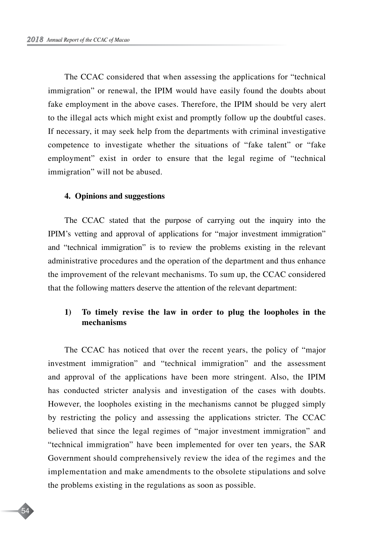The CCAC considered that when assessing the applications for "technical immigration" or renewal, the IPIM would have easily found the doubts about fake employment in the above cases. Therefore, the IPIM should be very alert to the illegal acts which might exist and promptly follow up the doubtful cases. If necessary, it may seek help from the departments with criminal investigative competence to investigate whether the situations of "fake talent" or "fake employment" exist in order to ensure that the legal regime of "technical immigration" will not be abused.

#### **4. Opinions and suggestions**

The CCAC stated that the purpose of carrying out the inquiry into the IPIM's vetting and approval of applications for "major investment immigration" and "technical immigration" is to review the problems existing in the relevant administrative procedures and the operation of the department and thus enhance the improvement of the relevant mechanisms. To sum up, the CCAC considered that the following matters deserve the attention of the relevant department:

### **1) To timely revise the law in order to plug the loopholes in the mechanisms**

The CCAC has noticed that over the recent years, the policy of "major investment immigration" and "technical immigration" and the assessment and approval of the applications have been more stringent. Also, the IPIM has conducted stricter analysis and investigation of the cases with doubts. However, the loopholes existing in the mechanisms cannot be plugged simply by restricting the policy and assessing the applications stricter. The CCAC believed that since the legal regimes of "major investment immigration" and "technical immigration" have been implemented for over ten years, the SAR Government should comprehensively review the idea of the regimes and the implementation and make amendments to the obsolete stipulations and solve the problems existing in the regulations as soon as possible.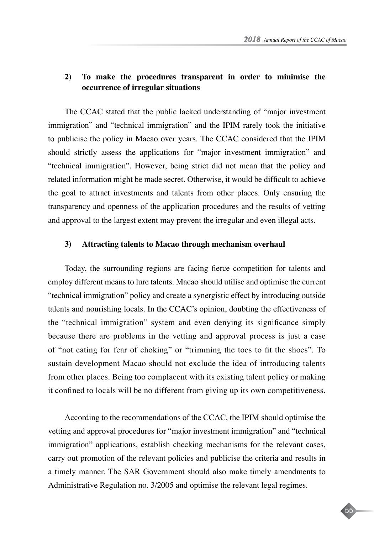### **2) To make the procedures transparent in order to minimise the occurrence of irregular situations**

The CCAC stated that the public lacked understanding of "major investment immigration" and "technical immigration" and the IPIM rarely took the initiative to publicise the policy in Macao over years. The CCAC considered that the IPIM should strictly assess the applications for "major investment immigration" and "technical immigration". However, being strict did not mean that the policy and related information might be made secret. Otherwise, it would be difficult to achieve the goal to attract investments and talents from other places. Only ensuring the transparency and openness of the application procedures and the results of vetting and approval to the largest extent may prevent the irregular and even illegal acts.

### **3) Attracting talents to Macao through mechanism overhaul**

Today, the surrounding regions are facing fierce competition for talents and employ different means to lure talents. Macao should utilise and optimise the current "technical immigration" policy and create a synergistic effect by introducing outside talents and nourishing locals. In the CCAC's opinion, doubting the effectiveness of the "technical immigration" system and even denying its significance simply because there are problems in the vetting and approval process is just a case of "not eating for fear of choking" or "trimming the toes to fit the shoes". To sustain development Macao should not exclude the idea of introducing talents from other places. Being too complacent with its existing talent policy or making it confined to locals will be no different from giving up its own competitiveness.

According to the recommendations of the CCAC, the IPIM should optimise the vetting and approval procedures for "major investment immigration" and "technical immigration" applications, establish checking mechanisms for the relevant cases, carry out promotion of the relevant policies and publicise the criteria and results in a timely manner. The SAR Government should also make timely amendments to Administrative Regulation no. 3/2005 and optimise the relevant legal regimes.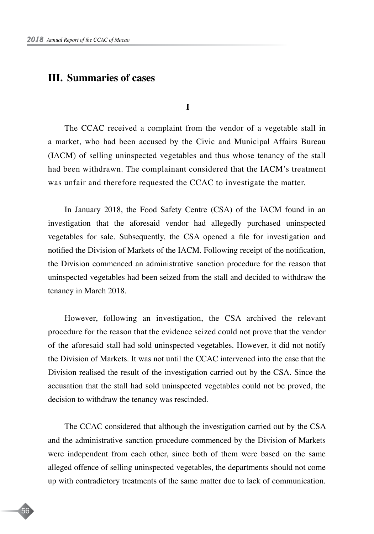# **III. Summaries of cases**

 **I** 

The CCAC received a complaint from the vendor of a vegetable stall in a market, who had been accused by the Civic and Municipal Affairs Bureau (IACM) of selling uninspected vegetables and thus whose tenancy of the stall had been withdrawn. The complainant considered that the IACM's treatment was unfair and therefore requested the CCAC to investigate the matter.

In January 2018, the Food Safety Centre (CSA) of the IACM found in an investigation that the aforesaid vendor had allegedly purchased uninspected vegetables for sale. Subsequently, the CSA opened a file for investigation and notified the Division of Markets of the IACM. Following receipt of the notification, the Division commenced an administrative sanction procedure for the reason that uninspected vegetables had been seized from the stall and decided to withdraw the tenancy in March 2018.

However, following an investigation, the CSA archived the relevant procedure for the reason that the evidence seized could not prove that the vendor of the aforesaid stall had sold uninspected vegetables. However, it did not notify the Division of Markets. It was not until the CCAC intervened into the case that the Division realised the result of the investigation carried out by the CSA. Since the accusation that the stall had sold uninspected vegetables could not be proved, the decision to withdraw the tenancy was rescinded.

The CCAC considered that although the investigation carried out by the CSA and the administrative sanction procedure commenced by the Division of Markets were independent from each other, since both of them were based on the same alleged offence of selling uninspected vegetables, the departments should not come up with contradictory treatments of the same matter due to lack of communication.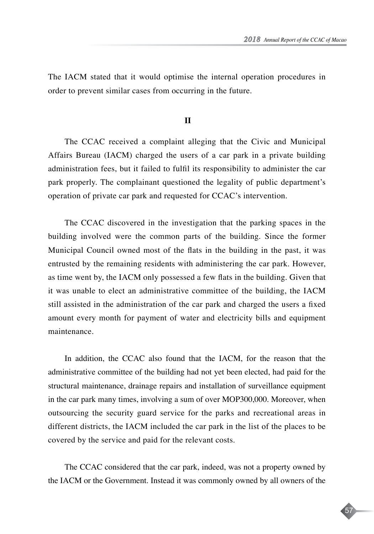The IACM stated that it would optimise the internal operation procedures in order to prevent similar cases from occurring in the future.

#### **II**

The CCAC received a complaint alleging that the Civic and Municipal Affairs Bureau (IACM) charged the users of a car park in a private building administration fees, but it failed to fulfil its responsibility to administer the car park properly. The complainant questioned the legality of public department's operation of private car park and requested for CCAC's intervention.

The CCAC discovered in the investigation that the parking spaces in the building involved were the common parts of the building. Since the former Municipal Council owned most of the flats in the building in the past, it was entrusted by the remaining residents with administering the car park. However, as time went by, the IACM only possessed a few flats in the building. Given that it was unable to elect an administrative committee of the building, the IACM still assisted in the administration of the car park and charged the users a fixed amount every month for payment of water and electricity bills and equipment maintenance.

In addition, the CCAC also found that the IACM, for the reason that the administrative committee of the building had not yet been elected, had paid for the structural maintenance, drainage repairs and installation of surveillance equipment in the car park many times, involving a sum of over MOP300,000. Moreover, when outsourcing the security guard service for the parks and recreational areas in different districts, the IACM included the car park in the list of the places to be covered by the service and paid for the relevant costs.

The CCAC considered that the car park, indeed, was not a property owned by the IACM or the Government. Instead it was commonly owned by all owners of the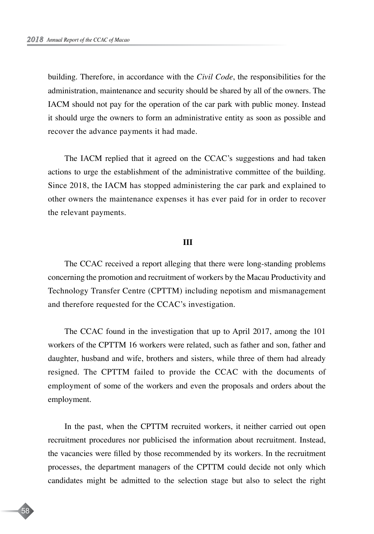building. Therefore, in accordance with the *Civil Code*, the responsibilities for the administration, maintenance and security should be shared by all of the owners. The IACM should not pay for the operation of the car park with public money. Instead it should urge the owners to form an administrative entity as soon as possible and recover the advance payments it had made.

The IACM replied that it agreed on the CCAC's suggestions and had taken actions to urge the establishment of the administrative committee of the building. Since 2018, the IACM has stopped administering the car park and explained to other owners the maintenance expenses it has ever paid for in order to recover the relevant payments.

#### **III**

The CCAC received a report alleging that there were long-standing problems concerning the promotion and recruitment of workers by the Macau Productivity and Technology Transfer Centre (CPTTM) including nepotism and mismanagement and therefore requested for the CCAC's investigation.

The CCAC found in the investigation that up to April 2017, among the 101 workers of the CPTTM 16 workers were related, such as father and son, father and daughter, husband and wife, brothers and sisters, while three of them had already resigned. The CPTTM failed to provide the CCAC with the documents of employment of some of the workers and even the proposals and orders about the employment.

In the past, when the CPTTM recruited workers, it neither carried out open recruitment procedures nor publicised the information about recruitment. Instead, the vacancies were filled by those recommended by its workers. In the recruitment processes, the department managers of the CPTTM could decide not only which candidates might be admitted to the selection stage but also to select the right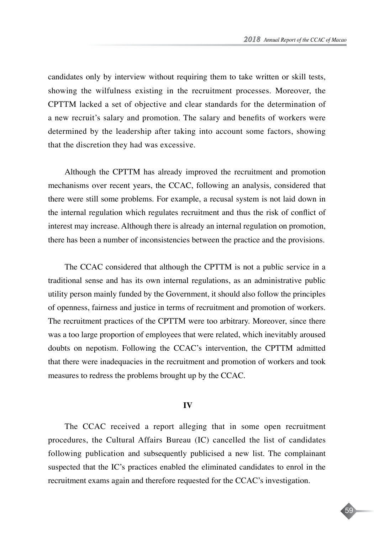candidates only by interview without requiring them to take written or skill tests, showing the wilfulness existing in the recruitment processes. Moreover, the CPTTM lacked a set of objective and clear standards for the determination of a new recruit's salary and promotion. The salary and benefits of workers were determined by the leadership after taking into account some factors, showing that the discretion they had was excessive.

Although the CPTTM has already improved the recruitment and promotion mechanisms over recent years, the CCAC, following an analysis, considered that there were still some problems. For example, a recusal system is not laid down in the internal regulation which regulates recruitment and thus the risk of conflict of interest may increase. Although there is already an internal regulation on promotion, there has been a number of inconsistencies between the practice and the provisions.

The CCAC considered that although the CPTTM is not a public service in a traditional sense and has its own internal regulations, as an administrative public utility person mainly funded by the Government, it should also follow the principles of openness, fairness and justice in terms of recruitment and promotion of workers. The recruitment practices of the CPTTM were too arbitrary. Moreover, since there was a too large proportion of employees that were related, which inevitably aroused doubts on nepotism. Following the CCAC's intervention, the CPTTM admitted that there were inadequacies in the recruitment and promotion of workers and took measures to redress the problems brought up by the CCAC.

#### **IV**

The CCAC received a report alleging that in some open recruitment procedures, the Cultural Affairs Bureau (IC) cancelled the list of candidates following publication and subsequently publicised a new list. The complainant suspected that the IC's practices enabled the eliminated candidates to enrol in the recruitment exams again and therefore requested for the CCAC's investigation.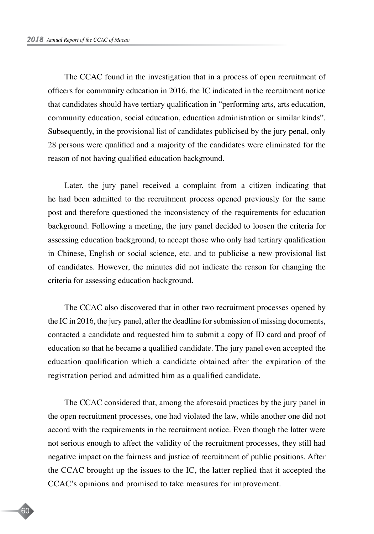The CCAC found in the investigation that in a process of open recruitment of officers for community education in 2016, the IC indicated in the recruitment notice that candidates should have tertiary qualification in "performing arts, arts education, community education, social education, education administration or similar kinds". Subsequently, in the provisional list of candidates publicised by the jury penal, only 28 persons were qualified and a majority of the candidates were eliminated for the reason of not having qualified education background.

Later, the jury panel received a complaint from a citizen indicating that he had been admitted to the recruitment process opened previously for the same post and therefore questioned the inconsistency of the requirements for education background. Following a meeting, the jury panel decided to loosen the criteria for assessing education background, to accept those who only had tertiary qualification in Chinese, English or social science, etc. and to publicise a new provisional list of candidates. However, the minutes did not indicate the reason for changing the criteria for assessing education background.

The CCAC also discovered that in other two recruitment processes opened by the IC in 2016, the jury panel, after the deadline for submission of missing documents, contacted a candidate and requested him to submit a copy of ID card and proof of education so that he became a qualified candidate. The jury panel even accepted the education qualification which a candidate obtained after the expiration of the registration period and admitted him as a qualified candidate.

The CCAC considered that, among the aforesaid practices by the jury panel in the open recruitment processes, one had violated the law, while another one did not accord with the requirements in the recruitment notice. Even though the latter were not serious enough to affect the validity of the recruitment processes, they still had negative impact on the fairness and justice of recruitment of public positions. After the CCAC brought up the issues to the IC, the latter replied that it accepted the CCAC's opinions and promised to take measures for improvement.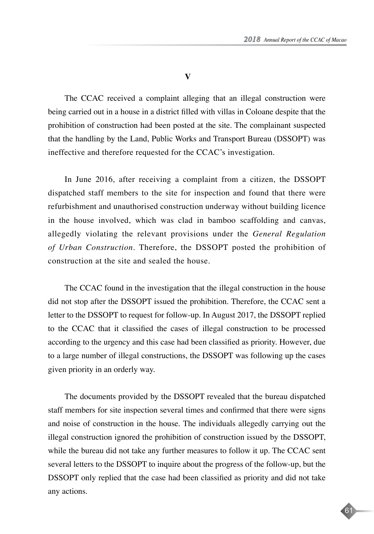**V** 

The CCAC received a complaint alleging that an illegal construction were being carried out in a house in a district filled with villas in Coloane despite that the prohibition of construction had been posted at the site. The complainant suspected that the handling by the Land, Public Works and Transport Bureau (DSSOPT) was ineffective and therefore requested for the CCAC's investigation.

In June 2016, after receiving a complaint from a citizen, the DSSOPT dispatched staff members to the site for inspection and found that there were refurbishment and unauthorised construction underway without building licence in the house involved, which was clad in bamboo scaffolding and canvas, allegedly violating the relevant provisions under the *General Regulation of Urban Construction*. Therefore, the DSSOPT posted the prohibition of construction at the site and sealed the house.

The CCAC found in the investigation that the illegal construction in the house did not stop after the DSSOPT issued the prohibition. Therefore, the CCAC sent a letter to the DSSOPT to request for follow-up. In August 2017, the DSSOPT replied to the CCAC that it classified the cases of illegal construction to be processed according to the urgency and this case had been classified as priority. However, due to a large number of illegal constructions, the DSSOPT was following up the cases given priority in an orderly way.

The documents provided by the DSSOPT revealed that the bureau dispatched staff members for site inspection several times and confirmed that there were signs and noise of construction in the house. The individuals allegedly carrying out the illegal construction ignored the prohibition of construction issued by the DSSOPT, while the bureau did not take any further measures to follow it up. The CCAC sent several letters to the DSSOPT to inquire about the progress of the follow-up, but the DSSOPT only replied that the case had been classified as priority and did not take any actions.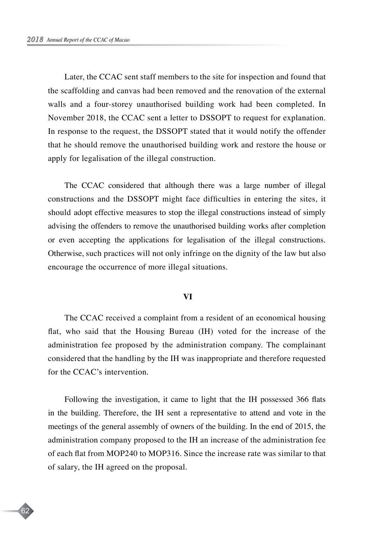Later, the CCAC sent staff members to the site for inspection and found that the scaffolding and canvas had been removed and the renovation of the external walls and a four-storey unauthorised building work had been completed. In November 2018, the CCAC sent a letter to DSSOPT to request for explanation. In response to the request, the DSSOPT stated that it would notify the offender that he should remove the unauthorised building work and restore the house or apply for legalisation of the illegal construction.

The CCAC considered that although there was a large number of illegal constructions and the DSSOPT might face difficulties in entering the sites, it should adopt effective measures to stop the illegal constructions instead of simply advising the offenders to remove the unauthorised building works after completion or even accepting the applications for legalisation of the illegal constructions. Otherwise, such practices will not only infringe on the dignity of the law but also encourage the occurrence of more illegal situations.

#### **VI**

The CCAC received a complaint from a resident of an economical housing flat, who said that the Housing Bureau (IH) voted for the increase of the administration fee proposed by the administration company. The complainant considered that the handling by the IH was inappropriate and therefore requested for the CCAC's intervention.

Following the investigation, it came to light that the IH possessed 366 flats in the building. Therefore, the IH sent a representative to attend and vote in the meetings of the general assembly of owners of the building. In the end of 2015, the administration company proposed to the IH an increase of the administration fee of each flat from MOP240 to MOP316. Since the increase rate was similar to that of salary, the IH agreed on the proposal.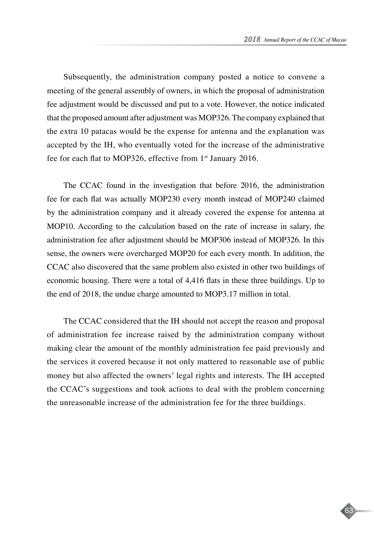Subsequently, the administration company posted a notice to convene a meeting of the general assembly of owners, in which the proposal of administration fee adjustment would be discussed and put to a vote. However, the notice indicated that the proposed amount after adjustment was MOP326. The company explained that the extra 10 patacas would be the expense for antenna and the explanation was accepted by the IH, who eventually voted for the increase of the administrative fee for each flat to MOP326, effective from 1<sup>st</sup> January 2016.

The CCAC found in the investigation that before 2016, the administration fee for each flat was actually MOP230 every month instead of MOP240 claimed by the administration company and it already covered the expense for antenna at MOP10. According to the calculation based on the rate of increase in salary, the administration fee after adjustment should be MOP306 instead of MOP326. In this sense, the owners were overcharged MOP20 for each every month. In addition, the CCAC also discovered that the same problem also existed in other two buildings of economic housing. There were a total of 4,416 flats in these three buildings. Up to the end of 2018, the undue charge amounted to MOP3.17 million in total.

The CCAC considered that the IH should not accept the reason and proposal of administration fee increase raised by the administration company without making clear the amount of the monthly administration fee paid previously and the services it covered because it not only mattered to reasonable use of public money but also affected the owners' legal rights and interests. The IH accepted the CCAC's suggestions and took actions to deal with the problem concerning the unreasonable increase of the administration fee for the three buildings.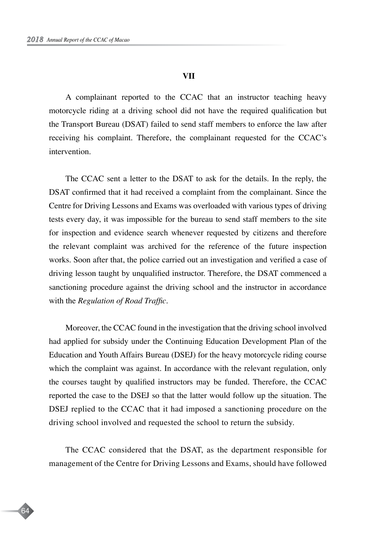### **VII**

A complainant reported to the CCAC that an instructor teaching heavy motorcycle riding at a driving school did not have the required qualification but the Transport Bureau (DSAT) failed to send staff members to enforce the law after receiving his complaint. Therefore, the complainant requested for the CCAC's intervention.

The CCAC sent a letter to the DSAT to ask for the details. In the reply, the DSAT confirmed that it had received a complaint from the complainant. Since the Centre for Driving Lessons and Exams was overloaded with various types of driving tests every day, it was impossible for the bureau to send staff members to the site for inspection and evidence search whenever requested by citizens and therefore the relevant complaint was archived for the reference of the future inspection works. Soon after that, the police carried out an investigation and verified a case of driving lesson taught by unqualified instructor. Therefore, the DSAT commenced a sanctioning procedure against the driving school and the instructor in accordance with the *Regulation of Road Traffic*.

Moreover, the CCAC found in the investigation that the driving school involved had applied for subsidy under the Continuing Education Development Plan of the Education and Youth Affairs Bureau (DSEJ) for the heavy motorcycle riding course which the complaint was against. In accordance with the relevant regulation, only the courses taught by qualified instructors may be funded. Therefore, the CCAC reported the case to the DSEJ so that the latter would follow up the situation. The DSEJ replied to the CCAC that it had imposed a sanctioning procedure on the driving school involved and requested the school to return the subsidy.

The CCAC considered that the DSAT, as the department responsible for management of the Centre for Driving Lessons and Exams, should have followed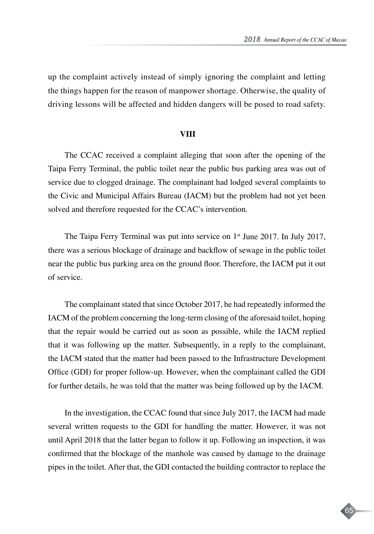up the complaint actively instead of simply ignoring the complaint and letting the things happen for the reason of manpower shortage. Otherwise, the quality of driving lessons will be affected and hidden dangers will be posed to road safety.

#### **VIII**

The CCAC received a complaint alleging that soon after the opening of the Taipa Ferry Terminal, the public toilet near the public bus parking area was out of service due to clogged drainage. The complainant had lodged several complaints to the Civic and Municipal Affairs Bureau (IACM) but the problem had not yet been solved and therefore requested for the CCAC's intervention.

The Taipa Ferry Terminal was put into service on  $1<sup>st</sup>$  June 2017. In July 2017, there was a serious blockage of drainage and backflow of sewage in the public toilet near the public bus parking area on the ground floor. Therefore, the IACM put it out of service.

The complainant stated that since October 2017, he had repeatedly informed the IACM of the problem concerning the long-term closing of the aforesaid toilet, hoping that the repair would be carried out as soon as possible, while the IACM replied that it was following up the matter. Subsequently, in a reply to the complainant, the IACM stated that the matter had been passed to the Infrastructure Development Office (GDI) for proper follow-up. However, when the complainant called the GDI for further details, he was told that the matter was being followed up by the IACM.

In the investigation, the CCAC found that since July 2017, the IACM had made several written requests to the GDI for handling the matter. However, it was not until April 2018 that the latter began to follow it up. Following an inspection, it was confirmed that the blockage of the manhole was caused by damage to the drainage pipes in the toilet. After that, the GDI contacted the building contractor to replace the